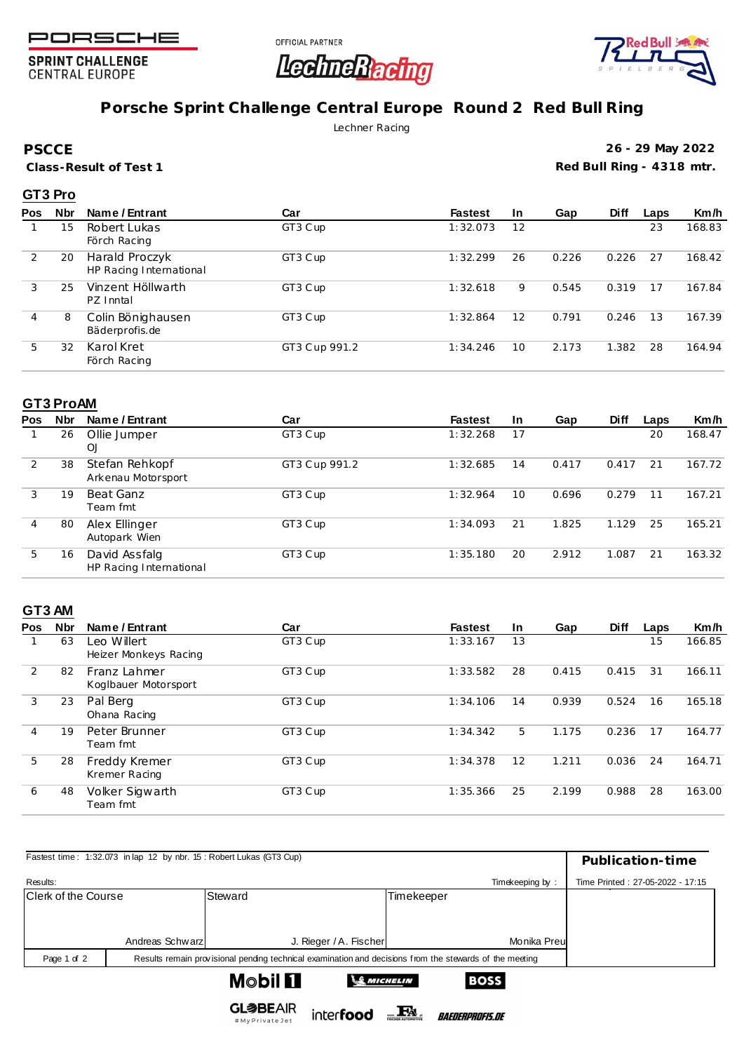

**SPRINT CHALLENGE CENTRAL EUROPE** 





# **Porsche Sprint Challenge Central Europe Round 2 Red Bull Ring**

Lechner Racing

**PSCCE**

**Class-Result of Test 1**

**26 - 29 May 2022 Red Bull Ring - 4318 mtr.**

### **GT3 Pro**

| <b>Pos</b> | <b>Nbr</b> | Name / Entrant                            | Car           | <b>Fastest</b> | In. | Gap   | <b>Diff</b> | Laps | Km/h   |
|------------|------------|-------------------------------------------|---------------|----------------|-----|-------|-------------|------|--------|
|            | 15         | Robert Lukas<br>Förch Racing              | GT3 Cup       | 1:32.073       | 12  |       |             | 23   | 168.83 |
| 2          | 20         | Harald Proczyk<br>HP Racing International | GT3 Cup       | 1:32.299       | 26  | 0.226 | 0.226       | 27   | 168.42 |
| 3          | 25         | Vinzent Höllwarth<br>PZ Inntal            | GT3 Cup       | 1:32.618       | 9   | 0.545 | 0.319       | 17   | 167.84 |
| 4          | 8          | Colin Bönighausen<br>Bäderprofis.de       | GT3 Cup       | 1:32.864       | 12  | 0.791 | 0.246       | 13   | 167.39 |
| 5          | 32         | Karol Kret<br>Förch Racing                | GT3 Cup 991.2 | 1:34.246       | 10  | 2.173 | 1.382       | 28   | 164.94 |

#### **GT3 ProAM**

| Pos | <b>Nbr</b> | Name / Entrant                           | Car           | <b>Fastest</b> | <b>In</b> | Gap   | <b>Diff</b> | Laps | Km/h   |
|-----|------------|------------------------------------------|---------------|----------------|-----------|-------|-------------|------|--------|
|     | 26         | Ollie Jumper<br>OJ                       | GT3 Cup       | 1:32.268       | 17        |       |             | 20   | 168.47 |
| 2   | 38         | Stefan Rehkopf<br>Arkenau Motorsport     | GT3 Cup 991.2 | 1:32.685       | 14        | 0.417 | 0.417       | 21   | 167.72 |
| 3   | 19         | Beat Ganz<br>Team fmt                    | GT3 Cup       | 1:32.964       | $10 \,$   | 0.696 | 0.279       | 11   | 167.21 |
| 4   | 80         | Alex Ellinger<br>Autopark Wien           | GT3 Cup       | 1:34.093       | 21        | 1.825 | 1.129       | 25   | 165.21 |
| 5   | 16         | David Assfalg<br>HP Racing International | GT3 Cup       | 1:35.180       | 20        | 2.912 | 1.087       | 21   | 163.32 |

### **GT3 AM**

| <b>Pos</b> | <b>Nbr</b> | Name / Entrant                       | Car     | <b>Fastest</b> | <b>In</b>         | Gap   | <b>Diff</b> | Laps | Km/h   |
|------------|------------|--------------------------------------|---------|----------------|-------------------|-------|-------------|------|--------|
|            | 63         | eo Willert<br>Heizer Monkeys Racing  | GT3 Cup | 1:33.167       | 13                |       |             | 15   | 166.85 |
| 2          | 82         | Franz Lahmer<br>Koglbauer Motorsport | GT3 Cup | 1:33.582       | 28                | 0.415 | 0.415       | 31   | 166.11 |
| 3          | 23         | Pal Berg<br>Ohana Racing             | GT3 Cup | 1:34.106       | 14                | 0.939 | 0.524       | 16   | 165.18 |
| 4          | 19         | Peter Brunner<br>Team fmt            | GT3 Cup | 1:34.342       | 5.                | 1.175 | 0.236       | 17   | 164.77 |
| 5          | 28         | Freddy Kremer<br>Kremer Racing       | GT3 Cup | 1:34.378       | $12 \overline{ }$ | 1.211 | 0.036       | 24   | 164.71 |
| 6          | 48         | Volker Sigwarth<br>Team fmt          | GT3 Cup | 1:35.366       | 25                | 2.199 | 0.988       | 28   | 163.00 |

| Fastest time: 1:32.073 in lap 12 by nbr. 15: Robert Lukas (GT3 Cup) | Publication-time |                                                                                                         |                   |                                  |
|---------------------------------------------------------------------|------------------|---------------------------------------------------------------------------------------------------------|-------------------|----------------------------------|
| Results:                                                            |                  |                                                                                                         | Timekeeping by:   | Time Printed: 27-05-2022 - 17:15 |
| Clerk of the Course                                                 |                  | Steward                                                                                                 | <b>Timekeeper</b> |                                  |
|                                                                     |                  |                                                                                                         |                   |                                  |
|                                                                     | Andreas Schwarz  | J. Rieger / A. Fischer                                                                                  | Monika Preul      |                                  |
| Page 1 of 2                                                         |                  | Results remain provisional pending technical examination and decisions from the stewards of the meeting |                   |                                  |
|                                                                     |                  | M©bil <b>El</b><br><b>SMICHELIN</b>                                                                     | <b>BOSS</b>       |                                  |